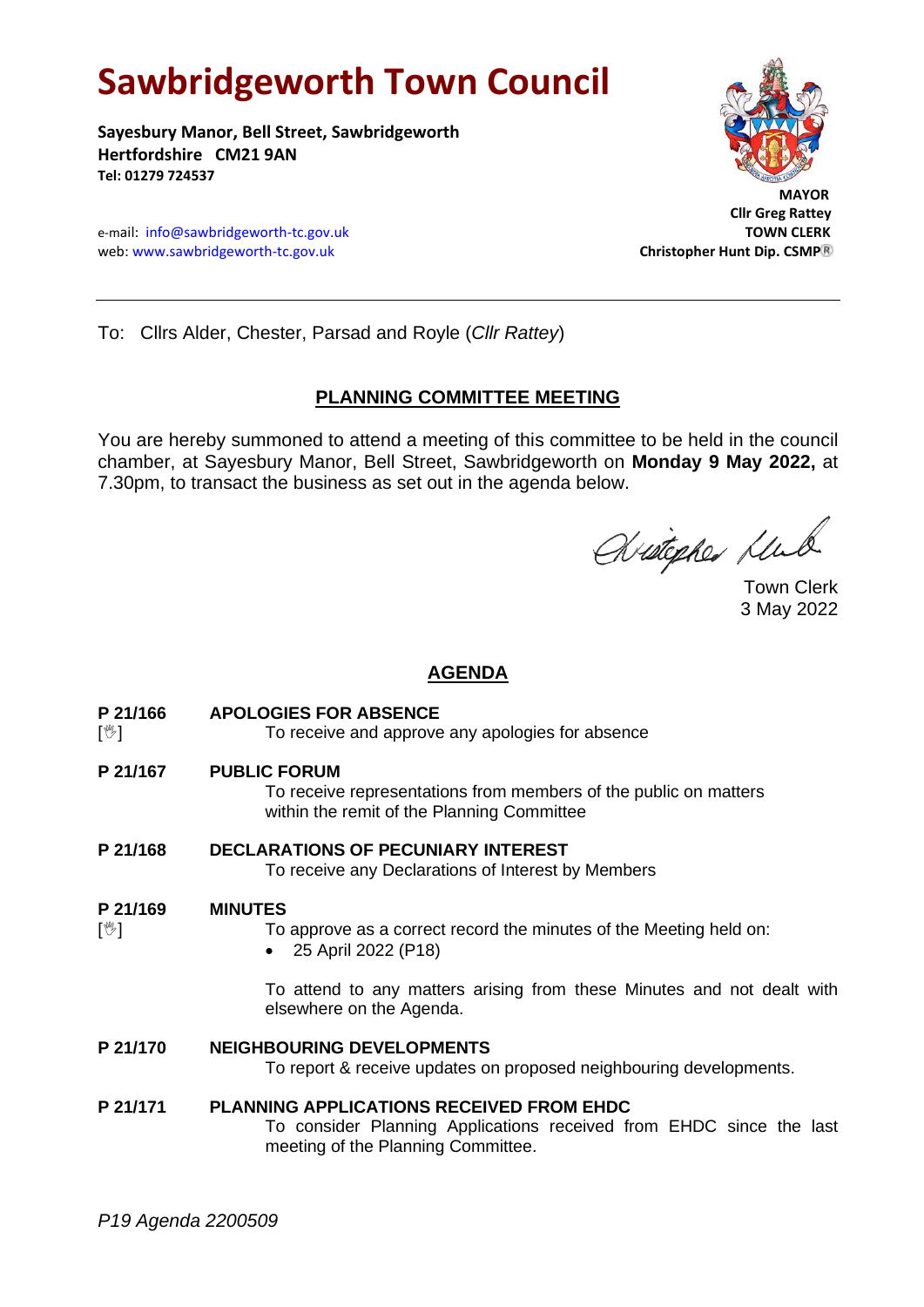# **Sawbridgeworth Town Council**

**Sayesbury Manor, Bell Street, Sawbridgeworth Hertfordshire CM21 9AN Tel: 01279 724537**

e-mail: [info@sawbridgeworth-tc.gov.uk](mailto:info@sawbridgeworth-tc.gov.uk)<br>
web: www.sawbridgeworth-tc.gov.uk **TOWN CLERK**<br>
Christopher Hunt Dip. CSMP® web: www.sawbridgeworth-tc.gov.uk



 **Cllr Greg Rattey**

To: Cllrs Alder, Chester, Parsad and Royle (*Cllr Rattey*)

## **PLANNING COMMITTEE MEETING**

You are hereby summoned to attend a meeting of this committee to be held in the council chamber, at Sayesbury Manor, Bell Street, Sawbridgeworth on **Monday 9 May 2022,** at 7.30pm, to transact the business as set out in the agenda below.

Avistopher Klub

Town Clerk 3 May 2022

## **AGENDA**

- **P 21/166 APOLOGIES FOR ABSENCE**
- [ $\mathcal{V}$ ] To receive and approve any apologies for absence
- **P 21/167 PUBLIC FORUM**

To receive representations from members of the public on matters within the remit of the Planning Committee

**P 21/168 DECLARATIONS OF PECUNIARY INTEREST** To receive any Declarations of Interest by Members

#### **P 21/169 MINUTES**

- $\lceil \sqrt[6]{2} \rceil$  To approve as a correct record the minutes of the Meeting held on:
	- 25 April 2022 (P18)

To attend to any matters arising from these Minutes and not dealt with elsewhere on the Agenda.

#### **P 21/170 NEIGHBOURING DEVELOPMENTS**

To report & receive updates on proposed neighbouring developments.

#### **P 21/171 PLANNING APPLICATIONS RECEIVED FROM EHDC**

To consider Planning Applications received from EHDC since the last meeting of the Planning Committee.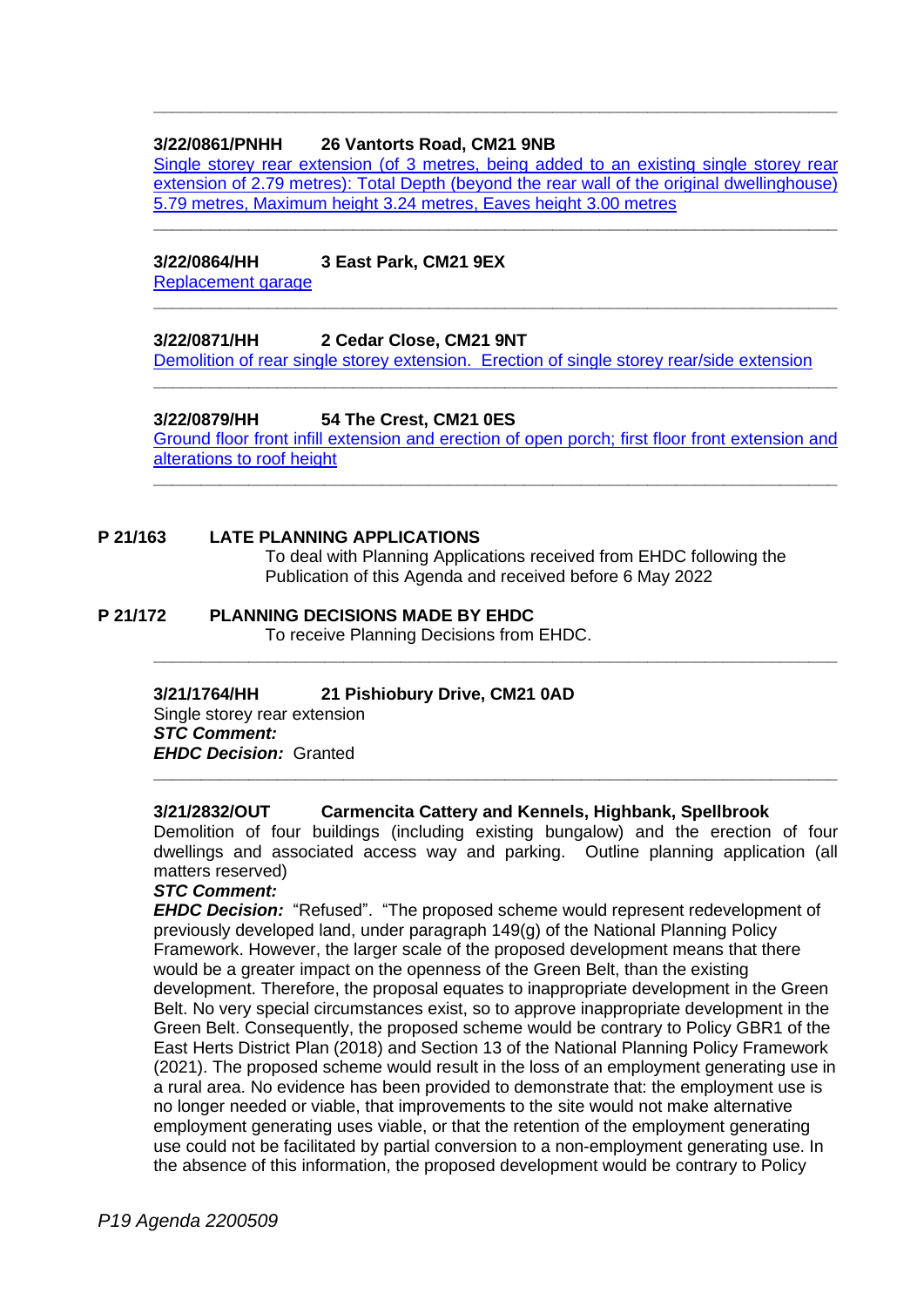#### **3/22/0861/PNHH 26 Vantorts Road, CM21 9NB**

[Single storey rear extension \(of 3 metres, being added to an existing single storey rear](https://publicaccess.eastherts.gov.uk/online-applications/applicationDetails.do?activeTab=documents&keyVal=RANAN7GL00T00)  extension of 2.79 metres): Total Depth (beyond the rear wall of the original dwellinghouse) [5.79 metres, Maximum height 3.24 metres, Eaves height 3.00 metres](https://publicaccess.eastherts.gov.uk/online-applications/applicationDetails.do?activeTab=documents&keyVal=RANAN7GL00T00)

**\_\_\_\_\_\_\_\_\_\_\_\_\_\_\_\_\_\_\_\_\_\_\_\_\_\_\_\_\_\_\_\_\_\_\_\_\_\_\_\_\_\_\_\_\_\_\_\_\_\_\_\_\_\_\_\_\_\_\_\_\_\_\_\_\_\_\_\_\_\_\_\_**

**\_\_\_\_\_\_\_\_\_\_\_\_\_\_\_\_\_\_\_\_\_\_\_\_\_\_\_\_\_\_\_\_\_\_\_\_\_\_\_\_\_\_\_\_\_\_\_\_\_\_\_\_\_\_\_\_\_\_\_\_\_\_\_\_\_\_\_\_\_\_\_\_**

**\_\_\_\_\_\_\_\_\_\_\_\_\_\_\_\_\_\_\_\_\_\_\_\_\_\_\_\_\_\_\_\_\_\_\_\_\_\_\_\_\_\_\_\_\_\_\_\_\_\_\_\_\_\_\_\_\_\_\_\_\_\_\_\_\_\_\_\_\_\_\_\_**

#### **3/22/0864/HH 3 East Park, CM21 9EX**

[Replacement garage](https://publicaccess.eastherts.gov.uk/online-applications/applicationDetails.do?activeTab=documents&keyVal=RAOGUWGLKKA00)

#### **3/22/0871/HH 2 Cedar Close, CM21 9NT**

[Demolition of rear single storey extension. Erection of single storey rear/side](https://publicaccess.eastherts.gov.uk/online-applications/applicationDetails.do?activeTab=documents&keyVal=RAR3J5GL00T00) extension

**\_\_\_\_\_\_\_\_\_\_\_\_\_\_\_\_\_\_\_\_\_\_\_\_\_\_\_\_\_\_\_\_\_\_\_\_\_\_\_\_\_\_\_\_\_\_\_\_\_\_\_\_\_\_\_\_\_\_\_\_\_\_\_\_\_\_\_\_\_\_\_\_**

#### **3/22/0879/HH 54 The Crest, CM21 0ES**

[Ground floor front infill extension and erection of open porch; first floor front extension and](https://publicaccess.eastherts.gov.uk/online-applications/applicationDetails.do?activeTab=documents&keyVal=RAXQ71GLKLS00)  [alterations to roof height](https://publicaccess.eastherts.gov.uk/online-applications/applicationDetails.do?activeTab=documents&keyVal=RAXQ71GLKLS00) **\_\_\_\_\_\_\_\_\_\_\_\_\_\_\_\_\_\_\_\_\_\_\_\_\_\_\_\_\_\_\_\_\_\_\_\_\_\_\_\_\_\_\_\_\_\_\_\_\_\_\_\_\_\_\_\_\_\_\_\_\_\_\_\_\_\_\_\_\_\_\_\_**

#### **P 21/163 LATE PLANNING APPLICATIONS**

To deal with Planning Applications received from EHDC following the Publication of this Agenda and received before 6 May 2022

#### **P 21/172 PLANNING DECISIONS MADE BY EHDC** To receive Planning Decisions from EHDC. **\_\_\_\_\_\_\_\_\_\_\_\_\_\_\_\_\_\_\_\_\_\_\_\_\_\_\_\_\_\_\_\_\_\_\_\_\_\_\_\_\_\_\_\_\_\_\_\_\_\_\_\_\_\_\_\_\_\_\_\_\_\_\_\_\_\_\_\_\_\_\_\_**

#### **3/21/1764/HH 21 Pishiobury Drive, CM21 0AD**

Single storey rear extension *STC Comment: EHDC Decision:* Granted

#### **3/21/2832/OUT Carmencita Cattery and Kennels, Highbank, Spellbrook**

Demolition of four buildings (including existing bungalow) and the erection of four dwellings and associated access way and parking. Outline planning application (all matters reserved)

**\_\_\_\_\_\_\_\_\_\_\_\_\_\_\_\_\_\_\_\_\_\_\_\_\_\_\_\_\_\_\_\_\_\_\_\_\_\_\_\_\_\_\_\_\_\_\_\_\_\_\_\_\_\_\_\_\_\_\_\_\_\_\_\_\_\_\_\_\_\_\_\_**

#### *STC Comment:*

*EHDC Decision:* "Refused". "The proposed scheme would represent redevelopment of previously developed land, under paragraph 149(g) of the National Planning Policy Framework. However, the larger scale of the proposed development means that there would be a greater impact on the openness of the Green Belt, than the existing development. Therefore, the proposal equates to inappropriate development in the Green Belt. No very special circumstances exist, so to approve inappropriate development in the Green Belt. Consequently, the proposed scheme would be contrary to Policy GBR1 of the East Herts District Plan (2018) and Section 13 of the National Planning Policy Framework (2021). The proposed scheme would result in the loss of an employment generating use in a rural area. No evidence has been provided to demonstrate that: the employment use is no longer needed or viable, that improvements to the site would not make alternative employment generating uses viable, or that the retention of the employment generating use could not be facilitated by partial conversion to a non-employment generating use. In the absence of this information, the proposed development would be contrary to Policy